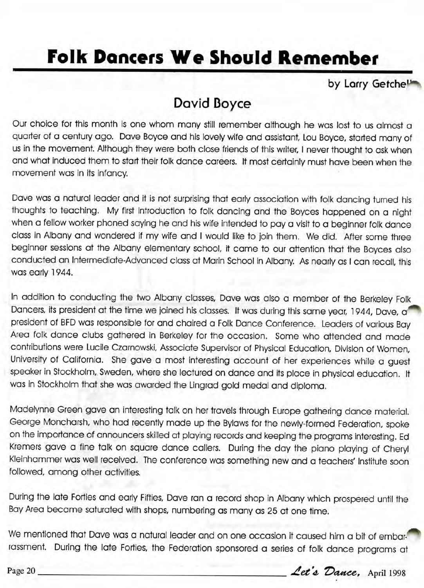## **Folk Dancers We Should Remember**

by Larry Getche<sup>11</sup>

## **David Doyce**

Our choice for this month is one whom many still remember although he was lost to us almost a quarter of a century ago. Dave Boyce and his lovely wife and assistant, Lou Boyce, started many of us in the movement. Although they were both close friends of this writer, I never thought to ask when and what induced them to start their folk dance careers. It most certainly must have been when the movement was in its infancy.

Dave was a natural leader and it is not surprising that early association with folk dancing turned his thoughts to teaching. My first introduction to folk dancing and the Boyces happened on a night when a fellow worker phoned saying he and his wife intended to pay a visit to a beginner folk dance class in Albany and wondered if my wife and I would like to join them. We did. After some three beginner sessions at the Albany elementary school, it came to our attention that the Boyces also conducted an Intermediate-Advanced class at Marin School in Albany. As nearly as I can recall, this was early 1944.

In addition to conducting the two Albany classes, Dave was also a member of the Berkeley Folk Dancers, its president at the time we joined his classes. It was during this same year, 1944, Dave, a' president of BFD was responsible for and chaired a Folk Dance Conference. Leaders of various Bay Area folk dance clubs gathered in Berkeley for the occasion. Some who attended and made contributions were Lucile Czarnowski, Associate Supervisor of Physical Education, Division of Women, University of California. She gave a most interesting account of her experiences while a guest speaker in Stockholm, Sweden, where she lectured on dance and its place in physical education. It was in Stockholm that she was awarded the Lingrad gold medal and diploma.

Madelynne Green gave an interesting talk on her travels through Europe gathering dance material. George Moncharsh, who had recently made up the Bylaws for the newly-formed Federation, spoke on the importance of announcers skilled at playing records and keeping the programs interesting. Ed Kremers gave a fine talk on square dance callers. During the day the piano playing of Cheryl Kleinhammer was well received. The conference was something new and a teachers' Institute soon followed, among other activities.

During the late Forties and early Fifties, Dave ran a record shop in Albany which prospered until the Bay Area became saturated with shops, numbering as many as 25 at one time.

We mentioned that Dave was a natural leader and on one occasion it caused him a bit of embarrassment. During the late Forties, the Federation sponsored a series of folk dance programs at Ne mentioned that Dave was a natural leader and on one occasion it caused him a bit of embar-<br>assment. During the late Forties, the Federation sponsored a series of folk dance programs at<br>age 20 \_\_\_\_\_\_\_\_\_\_\_\_\_\_\_\_\_\_\_\_\_\_\_\_\_\_\_